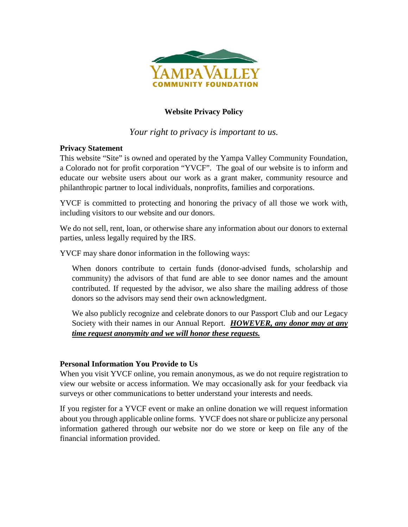

# **Website Privacy Policy**

*Your right to privacy is important to us.* 

## **Privacy Statement**

This website "Site" is owned and operated by the Yampa Valley Community Foundation, a Colorado not for profit corporation "YVCF". The goal of our website is to inform and educate our website users about our work as a grant maker, community resource and philanthropic partner to local individuals, nonprofits, families and corporations.

YVCF is committed to protecting and honoring the privacy of all those we work with, including visitors to our website and our donors.

We do not sell, rent, loan, or otherwise share any information about our donors to external parties, unless legally required by the IRS.

YVCF may share donor information in the following ways:

When donors contribute to certain funds (donor-advised funds, scholarship and community) the advisors of that fund are able to see donor names and the amount contributed. If requested by the advisor, we also share the mailing address of those donors so the advisors may send their own acknowledgment.

We also publicly recognize and celebrate donors to our Passport Club and our Legacy Society with their names in our Annual Report. *HOWEVER, any donor may at any time request anonymity and we will honor these requests.*

## **Personal Information You Provide to Us**

When you visit YVCF online, you remain anonymous, as we do not require registration to view our website or access information. We may occasionally ask for your feedback via surveys or other communications to better understand your interests and needs.

If you register for a YVCF event or make an online donation we will request information about you through applicable online forms. YVCF does not share or publicize any personal information gathered through our website nor do we store or keep on file any of the financial information provided.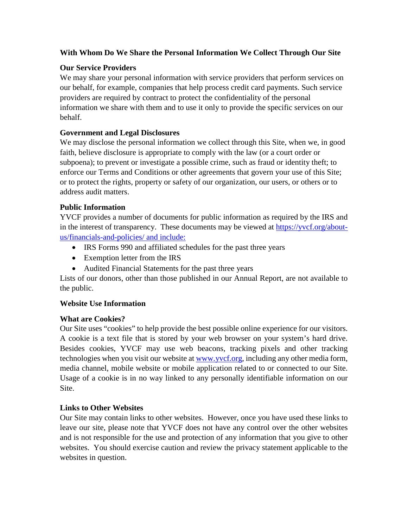# **With Whom Do We Share the Personal Information We Collect Through Our Site**

# **Our Service Providers**

We may share your personal information with service providers that perform services on our behalf, for example, companies that help process credit card payments. Such service providers are required by contract to protect the confidentiality of the personal information we share with them and to use it only to provide the specific services on our behalf.

# **Government and Legal Disclosures**

We may disclose the personal information we collect through this Site, when we, in good faith, believe disclosure is appropriate to comply with the law (or a court order or subpoena); to prevent or investigate a possible crime, such as fraud or identity theft; to enforce our Terms and Conditions or other agreements that govern your use of this Site; or to protect the rights, property or safety of our organization, our users, or others or to address audit matters.

# **Public Information**

YVCF provides a number of documents for public information as required by the IRS and in the interest of transparency. These documents may be viewed at [https://yvcf.org/about](https://yvcf.org/about-us/financials-and-policies/)[us/financials-and-policies/](https://yvcf.org/about-us/financials-and-policies/) and include:

- IRS Forms 990 and affiliated schedules for the past three years
- Exemption letter from the IRS
- Audited Financial Statements for the past three years

Lists of our donors, other than those published in our Annual Report, are not available to the public.

## **Website Use Information**

## **What are Cookies?**

Our Site uses "cookies" to help provide the best possible online experience for our visitors. A cookie is a text file that is stored by your web browser on your system's hard drive. Besides cookies, YVCF may use web beacons, tracking pixels and other tracking technologies when you visit our website at [www.yvcf.org,](http://www.yvcf.org/) including any other media form, media channel, mobile website or mobile application related to or connected to our Site. Usage of a cookie is in no way linked to any personally identifiable information on our Site.

# **Links to Other Websites**

Our Site may contain links to other websites. However, once you have used these links to leave our site, please note that YVCF does not have any control over the other websites and is not responsible for the use and protection of any information that you give to other websites. You should exercise caution and review the privacy statement applicable to the websites in question.